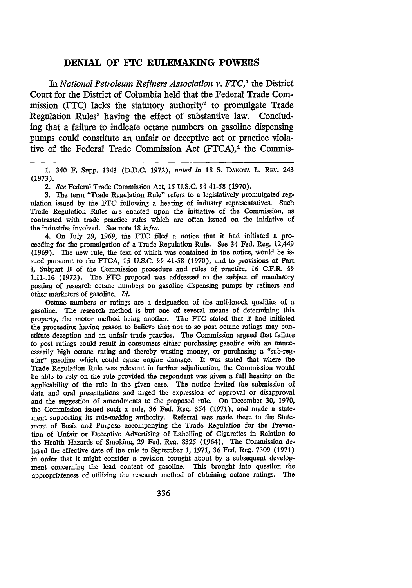## **DENIAL OF FTC RULEMAKING POWERS**

*In National Petroleum Refiners Association v. FTC,'* the District Court for the District of Columbia held that the Federal Trade Commission (FTC) lacks the statutory authority<sup>2</sup> to promulgate Trade Regulation Rules<sup>3</sup> having the effect of substantive law. Concluding that a failure to indicate octane numbers on gasoline dispensing pumps could constitute an unfair or deceptive act or practice violative of the Federal Trade Commission Act  $(FTCA)$ ,<sup>4</sup> the Commis-

1. 340 F. Supp. 1343 (D.D.C. 1972), noted in 18 S. DAKOTA L. REV. 243 (1973).

*2. See* Federal Trade Commission Act, 15 U.S.C. §§ 41-58 (1970).

3. The term "Trade Regulation Rule" refers to a legislatively promulgated regulation issued by the **FTC** following a hearing of industry representatives. Such Trade Regulation Rules are enacted upon the initiative of the Commission, as contrasted with trade practice rules which are often issued on the initiative of the industries involved. See note **18** *infra.*

4. On July 29, 1969, the FTC filed a notice that it had initiated a proceeding for the promulgation of a Trade Regulation Rule. See 34 Fed. Reg. 12,449 (1969). The new rule, the text of which was contained in the notice, would be issued pursuant to the FTCA, 15 U.S.C. §§ 41-58 (1970), and to provisions of Part I, Subpart B of the Commission procedure and rules of practice, 16 C.F.R. §§ 1.11-.16 (1972). The **FTC** proposal was addressed to the subject of mandatory posting of research octane numbers on gasoline dispensing pumps **by** refiners and other marketers of gasoline. *Id.*

Octane numbers or ratings are a designation of the anti-knock qualities of a gasoline. The research method is but one of several means of determining this property, the motor method being another. The FTC stated that it had initiated the proceeding having reason to believe that not to so post octane ratings may constitute deception and an unfair trade practice. The Commission argued that failure to post ratings could result in consumers either purchasing gasoline with an unnecessarily high octane rating and thereby wasting money, or purchasing a "sub-regular" gasoline which could cause engine damage. It was stated that where the Trade Regulation Rule was relevant in further adjudication, the Commission would be able to rely on the rule provided the respondent was given a full hearing on the applicability of the rule in the given case. The notice invited the submission of data and oral presentations and urged the expression of approval or disapproval and the suggestion of amendments to the proposed rule. On December **30, 1970, the** Commission issued such a rule, **36** Fed. Reg. *354* **(1971),** and made a statement supporting its rule-making authority. Referral was made there to the Statement of Basis and Purpose accompanying the Trade Regulation for the Prevention of Unfair or Deceptive Advertising of Labelling of Cigarettes in Relation to the Health Hazards of Smoking, **29** Fed. Reg. **8325** (1964). The Commission **de**layed the effective date of the rule to September **1, 1971, 36** Fed. Reg. **7309 (1971)** in order that it might consider a revision brought about **by** a subsequent development concerning the lead content of gasoline. This brought into question the appropriateness of utilizing the research method of obtaining octane ratings. The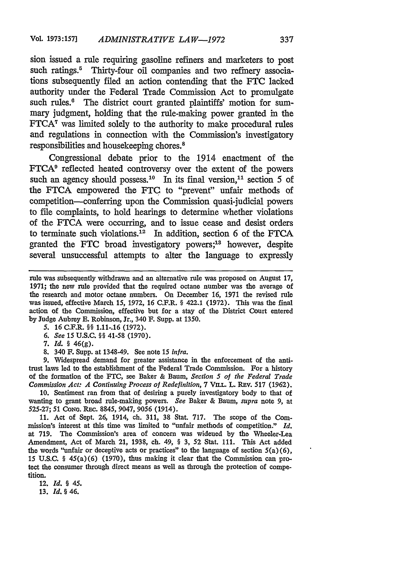sion issued a rule requiring gasoline refiners and marketers to post such ratings.<sup>5</sup> Thirty-four oil companies and two refinery associations subsequently filed an action contending that the FTC lacked authority under the Federal Trade Commission Act to promulgate such rules.<sup>6</sup> The district court granted plaintiffs' motion for summary judgment, holding that the rule-making power granted in the **FTCA7** was limited solely to the authority to make procedural rules and regulations in connection with the Commission's investigatory responsibilities and housekeeping chores.'

Congressional debate prior to the 1914 enactment of the **FTCA9** reflected heated controversy over the extent of the powers such an agency should possess.<sup>10</sup> In its final version,<sup>11</sup> section 5 of the FTCA empowered the FTC to "prevent" unfair methods of competition-conferring upon the Commission quasi-judicial powers to file complaints, to hold hearings to determine whether violations of the FTCA were occurring, and to issue cease and desist orders to terminate such violations.<sup>12</sup> In addition, section 6 of the FTCA granted the FTC broad investigatory powers;18 however, despite several unsuccessful attempts to alter the language to expressly

7. *Id. §* 46(g).

8. 340 F. Supp. at 1348-49. See note 15 *inIra.*

9. Widespread demand for greater assistance in the enforcement of the antitrust laws led to the establishment of the Federal Trade Commission. For a history of the formation of the FTC, see Baker & Baum, *Section* **5** *of the Federal Trade Commission Act: A Continuing Process of Redefinition, 7 VILL. L. REV. 517 (1962).* 

10. Sentiment ran from that of desiring a purely investigatory body to that of wanting to grant broad rule-making powers. *See* Baker & Baum, *supra* note 9, at 525-27; 51 CONG. REc. 8845, 9047, 9056 (1914).

11. Act of Sept. 26, 1914, ch. 311, 38 Stat. 717. The scope of the Commission's interest at this time was limited to "unfair methods of competition." *Id.* at 719. The Commission's area of concern was widened by the Wheeler-Lea Amendment, Act of March 21, 1938, ch. 49, § 3, 52 Stat. 111. This Act added the words "unfair or deceptive acts or practices" to the language of section 5(a) (6), 15 U.S.C. § 45(a)(6) (1970), thus making it clear that the Commission can protect the consumer through direct means as well as through the protection of competition.

12. *Id. § 45.*

**13.** *Id. §* 46.

rule was subsequently withdrawn and an alternative rule was proposed on August 17, 1971; the new rule provided that the required octane number was the average of the research and motor octane numbers. On December 16, 1971 the revised rule was issued, effective March 15, 1972, 16 C.F.R. § 422.1 (1972). This was the final action of the Commission, effective but for a stay of the District Court entered by Judge Aubrey E. Robinson, Jr., 340 F. Supp. at 1350.

*<sup>5.</sup>* 16 C.F.R. §§ 1.11-.16 (1972).

<sup>6.</sup> *See 15* U.S.C. §§ 41-58 (1970).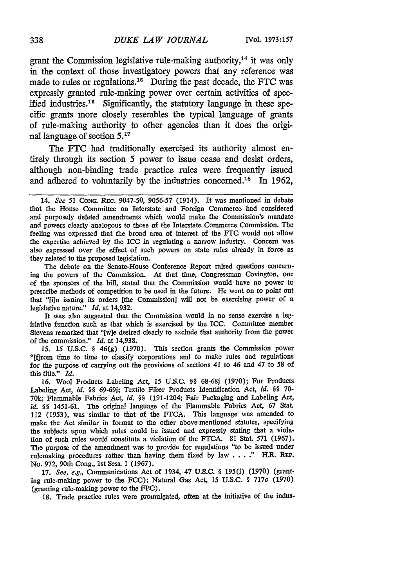grant the Commission legislative rule-making authority,14 it was only in the context of those investigatory powers that any reference was made to rules or regulations.<sup>15</sup> During the past decade, the FTC was expressly granted rule-making power over certain activities of specified industries.<sup>16</sup> Significantly, the statutory language in these specific grants more closely resembles the typical language of grants of rule-making authority to other agencies than it does the original language of section **5.17**

The FTC had traditionally exercised its authority almost entirely through its section 5 power to issue cease and desist orders, although non-binding trade practice rules were frequently issued and adhered to voluntarily by the industries concerned.<sup>18</sup> In 1962,

The debate on the Senate-House Conference Report raised questions concerning the powers of the Commission. At that time, Congressman Covington, one of the sponsors of the bill, stated that the Commission would have no power to prescribe methods of competition to be used in the future. He went on to point out that "[i]n issuing its orders [the Commission] will not be exercising power of a legislative nature." *Id.* at 14,932.

It was also suggested that the Commission would in no sense exercise a legislative function such as that which is exercised by the ICC. Committee member Stevens remarked that "[wle desired clearly to exclude that authority from the power of the commission." *Id.* at 14,938.

*15.* 15 U.S.C. **§** 46(g) (1970). This section grants the Commission power "[flrom time to time to classify corporations and to make rules and regulations for the purpose of carrying out the provisions of sections 41 to 46 and 47 to 58 of this title." *Id.*

16. Wool Products Labeling Act, 15 U.S.C. **\$\$ 68-68j** (1970); Fur Products Labeling Act, *id.* §§ 69-69j; Textile Fiber Products Identification Act, *id.* §§ 70-70k; Flammable Fabrics Act, *id.* §§ 1191-1204; Fair Packaging and Labeling Act, *id.* §§ 1451-61. The original language of the Flammable Fabrics Act, 67 Stat. 112 (1953), was similar to that of the FTCA. This language was amended to make the Act similar in format to the other above-mentioned statutes, specifying the subjects upon which rules could be issued and expressly stating that a violation of such rules would constitute a violation of the **FTCA.** 81 Stat. 571 (1967). The purpose of the amendment was to provide for regulations "to be issued under rulemaking procedures rather than having them fixed by law . **.** . **."** H.R. REP. No. 972, 90th Cong., 1st Sess. 1 (1967).

17. *See, e.g.,* Communications Act of 1934, 47 U.S.C. **§** 195(i) (1970) (granting rule-making power to the FCC); Natural Gas Act, 15 U.S.C. **§** 717o (1970) (granting rule-making power to the FPC).

18. Trade practice rules were promulgated, often at the initiative of the indus-

<sup>14.</sup> *See 51 CoNa.* REC. 9047-50, 9056-57 (1914). It was mentioned in debate that the House Committee on Interstate and Foreign Commerce had considered and purposely deleted amendments which would make the Commission's mandate and powers clearly analogous to those of the Interstate Commerce Commission. The feeling was expressed that the broad area of interest of the FTC would not allow the expertise achieved by the ICC in regulating a narrow industry. Concern was also expressed over the effect of such powers on state rules already in force as they related to the proposed legislation.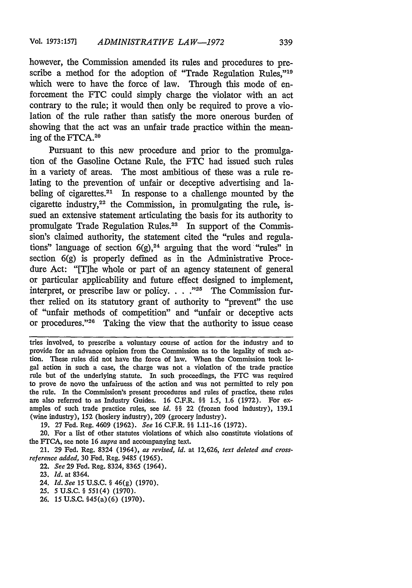however, the Commission amended its rules and procedures to prescribe a method for the adoption of "Trade Regulation Rules,"<sup>19</sup> which were to have the force of law. Through this mode of enforcement the FTC could simply charge the violator with an act contrary to the rule; it would then only be required to prove a violation of the rule rather than satisfy the more onerous burden of showing that the act was an unfair trade practice within the meaning of the FTCA.<sup>20</sup>

Pursuant to this new procedure and prior to the promulgation of the Gasoline Octane Rule, the **FTC** had issued such rules in a variety of areas. The most ambitious of these was a rule relating to the prevention of unfair or deceptive advertising and labeling of cigarettes.<sup>21</sup> In response to a challenge mounted by the cigarette industry,<sup>22</sup> the Commission, in promulgating the rule, issued an extensive statement articulating the basis for its authority to promulgate Trade Regulation Rules.<sup>23</sup> In support of the Commission's claimed authority, the statement cited the "rules and regulations" language of section  $6(g)$ ,<sup>24</sup> arguing that the word "rules" in section 6(g) is properly defined as in the Administrative Procedure Act: "[T]he whole or part of an agency statement of general or particular applicability and future effect designed to implement, interpret, or prescribe law or policy. . . . "<sup>25</sup> The Commission further relied on its statutory grant of authority to "prevent" the use of "unfair methods of competition" and "unfair or deceptive acts or procedures." $26$  Taking the view that the authority to issue cease

tries involved, to prescribe a voluntary course of action for the industry and to provide for an advance opinion from the Commission as to the legality of such action. These rules did not have the force of law. When the Commission took legal action in such a case, the charge was not a violation of the trade practice rule but of the underlying statute. In such proceedings, the FTC was required to prove de novo the unfairness of the action and was not permitted to rely pon the rule. In the Commission's present procedures and rules of practice, these rules are also referred to as Industry Guides. 16 C.F.R. §§ 1.5, 1.6 (1972). For examples of such trade practice rules, see *id. §§* 22 (frozen food industry), 139.1 (wine industry), 152 (hosiery industry), **209** (grocery industry).

19. 27 Fed. Reg. 4609 (1962). *See* 16 C.F.R. §§ 1.11-.16 (1972).

20. For a list of other statutes violations of which also constitute violations of the FTCA, see note 16 *supra* and accompanying text.

21. 29 Fed. Reg. 8324 (1964), *as revised, id.* at 12,626, *text deleted and crossreference added,* **30** Fed. Reg. 9485 (1965).

22. *See* 29 Fed. Reg. 8324, 8365 (1964).

- 24. *Id. See* 15 U.S.C. § 46(g) (1970).
- 25. 5U.S.C. **§** 551(4) (1970).
- 26. 15 U.S.C. §45(a)(6) (1970).

<sup>23.</sup> *Id.* at 8364.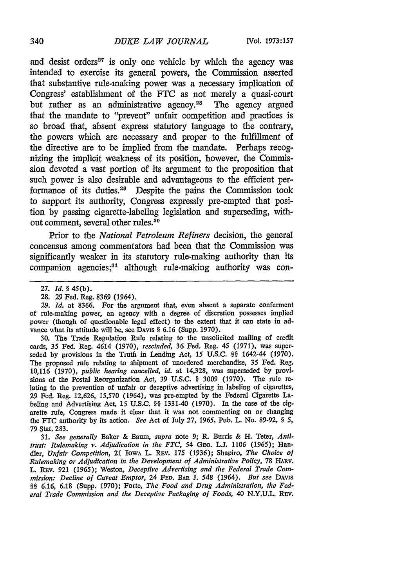and desist orders $27$  is only one vehicle by which the agency was intended to exercise its general powers, the Commission asserted that substantive rule-making power was a necessary implication of Congress' establishment of the FTC as not merely a quasi-court but rather as an administrative agency.<sup>28</sup> The agency argued that the mandate to "prevent" unfair competition and practices is so broad that, absent express statutory language to the contrary, the powers which are necessary and proper to the fulfillment of the directive are to be implied from the mandate. Perhaps recognizing the implicit weakness of its position, however, the Commission devoted a vast portion of its argument to the proposition that such power is also desirable and advantageous to the efficient performance of its duties.<sup>29</sup> Despite the pains the Commission took to support its authority, Congress expressly pre-empted that position by passing cigarette-labeling legislation and superseding, without comment, several other rules.<sup>30</sup>

Prior to the *National Petroleum Refiners* decision, the general concensus among commentators had been that the Commission was significantly weaker in its statutory rule-making authority than its  $companion$  agencies;<sup>31</sup> although rule-making authority was con-

30. The Trade Regulation Rule relating to the unsolicited mailing of credit cards, 35 Fed. Reg. 4614 (1970), rescinded, 36 Fed. Reg. 45 (1971), was superseded by provisions in the Truth in Lending Act, 15 U.S.C. §§ 1642-44 (1970). The proposed rule relating to shipment of unordered merchandise, 35 Fed. Reg. 10,116 (1970), *public hearing cancelled, id.* at 14,328, was superseded by provisions of the Postal Reorganization Act, 39 U.S.C. § 3009 (1970). The rule relating to the prevention of unfair or deceptive advertising in labeling of cigarettes, 29 Fed. Reg. 12,626, 15,570 (1964), was pre-empted by the Federal Cigarette Labeling and Advertising Act, 15 U.S.C. §§ 1331-40 (1970). In the case of the cigarette rule, Congress made it clear that it was not commenting on or changing the FTC authority by its action. *See* Act of July 27, *1965,* Pub. L. No. 89-92, § *5,* 79 Stat. 283.

31. *See generally* Baker & Baum, *supra* note 9; R. Burris & H. Teter, Anti*trust: Rulemaking v. Adjudication in the FTC,* 54 GEO. L.J. 1106 *(1965);* Handler, *Unfair Competition,* 21 IowA L. Rav. 175 (1936); Shapiro, *The* Choice *of* Rulemaking *or Adjudication in the* Development of Administrative *Policy,* 78 HAv. L. REv. 921 (1965); Weston, *Deceptive Advertising and the Federal Trade Com*mission: Decline of Caveat Emptor, 24 FED. **BAR 1.** 548 (1964). *But see* DAVIs §§ *6.16,* 6.18 (Supp. 1970); Forte, The Food and *Drug Administration,* the Federal Trade Commission and the Deceptive Packaging of Foods, 40 N.Y.U.L. REV.

<sup>27.</sup> Id. § 45(b).

<sup>28. 29</sup> Fed. Reg. 8369 (1964).

<sup>29.</sup> *Id.* at 8366. For the argument that, even absent a separate conferment of rule-making power, an agency with a degree of discretion possesses implied power (though of questionable legal effect) to the extent that it can state in advance what its attitude will be, see DAVIs § 6.16 (Supp. 1970).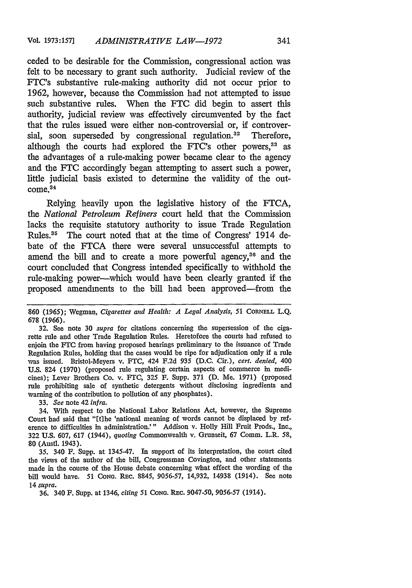ceded to be desirable for the Commission, congressional action was felt to be necessary to grant such authority. Judicial review of the FTC's substantive rule-making authority did not occur prior to 1962, however, because the Commission had not attempted to issue such substantive rules. When the **FTC** did begin to assert this authority, judicial review was effectively circumvented by the fact that the rules issued were either non-controversial or, if controversial, soon superseded by congressional regulation.<sup>32</sup> Therefore, although the courts had explored the FTC's other powers,<sup>33</sup> as the advantages of a rule-making power became clear to the agency and the FTC accordingly began attempting to assert such a power, little judicial basis existed to determine the validity of the out- $\frac{34}{34}$ 

Relying heavily upon the legislative history of the FTCA, the *National Petroleum Refiners* court held that the Commission lacks the requisite statutory authority to issue Trade Regulation Rules.<sup>35</sup> The court noted that at the time of Congress' 1914 debate of the FTCA there were several unsuccessful attempts to amend the bill and to create a more powerful agency,<sup>36</sup> and the court concluded that Congress intended specifically to withhold the rule-making power-which would have been clearly granted if the proposed amendments to the bill had been approved-from the

33. *See* note 42 *infra.*

34. With respect to the National Labor Relations Act, however, the Supreme Court had said that "[tihe 'national meaning of words cannot be displaced by reference to difficulties in administration.'" Addison v. Holly Hill Fruit Prods., Inc., 322 U.S. 607, 617 (1944), *quoting* Commonwealth v. Grunseit, 67 Comm. L.R. **58,** 80 (Austl. 1943).

35. 340 F. Supp. at 1345-47. In support of its interpretation, the court cited the views of the author of the bill, Congressman Covington, and other statements made in the course of the House debate concerning what effect the wording of the bill would have. 51 Cong. REC. 8845, 9056-57, 14,932, 14938 (1914). See note 14 *supra.*

36. 340 F. Supp. at 1346, *citing 51* CoNG. Rac. 9047-50, 9056-57 (1914).

**<sup>860</sup>** (1965); Wegman, *Cigarettes and Health: A Legal Analysis, 51* **CORNELL** L.Q. 678 (1966).

<sup>32.</sup> See note 30 *supra* for citations concerning the supersession of the cigarette rule and other Trade Regulation Rules. Heretofore the courts had refused to enjoin the FTC from having proposed hearings preliminary to the issuance of Trade Regulation Rules, holding that the cases would be ripe for adjudication only if a rule was issued. Bristol-Meyers v. FTC, 424 F.2d 935 (D.C. Cir.), *cert. denied,* 400 U.S. 824 (1970) (proposed rule regulating certain aspects of commerce in medicines); Lever Brothers Co. v. FTC, 325 F. Supp. 371 **(D.** Me. 1971) (proposed rule prohibiting sale of synthetic detergents without disclosing ingredients and warning of the contribution to pollution of any phosphates).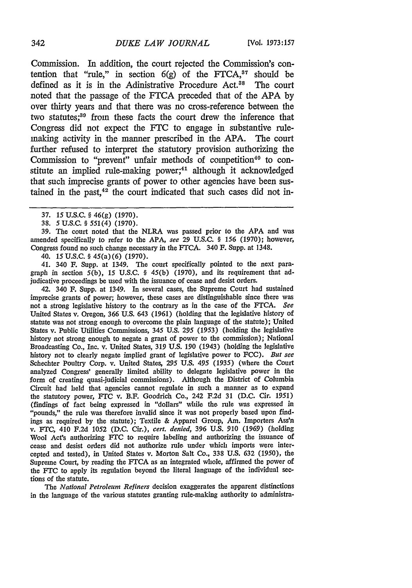Commission. In addition, the court rejected the Commission's contention that "rule," in section  $6(g)$  of the FTCA,<sup>37</sup> should be defined as it is in the Adinistrative Procedure Act.<sup>88</sup> The court noted that the passage of the FTCA preceded that of the APA by over thirty years and that there was no cross-reference between the two statutes;<sup>39</sup> from these facts the court drew the inference that Congress did not expect the FTC to engage in substantive rulemaking activity in the manner prescribed in the APA. The court further refused to interpret the statutory provision authorizing the Commission to "prevent" unfair methods of competition<sup>40</sup> to constitute an implied rule-making power;<sup>41</sup> although it acknowledged that such imprecise grants of power to other agencies have been sustained in the past, $42$  the court indicated that such cases did not in-

39. The court noted that the NLRA was passed prior to the APA and was amended specifically to refer to the APA, see 29 U.S.C. § 156 (1970); however, Congress found no such change necessary in the FTCA. 340 F. Supp. at 1348.

40. 15 U.S.C. **§** 45(a)(6) (1970).

41. 340 F. Supp. at 1349. The court specifically pointed to the next paragraph in section 5(b), 15 U.S.C. § 45(b) (1970), and its requirement that adjudicative proceedings be used with the issuance of cease and desist orders.

42. 340 *F.* Supp. at 1349. In several cases, the Supreme Court had sustained imprecise grants of power; however, these cases are distinguishable since there was not a strong legislative history to the contrary as in the case of the FrCA. *See* United States v. Oregon, 366 U.S. 643 (1961) (holding that the legislative history of statute was not strong enough to overcome the plain language of the statute); United States v. Public Utilities Commissions, 345 U.S. 295 (1953) (holding the legislative history not strong enough to negate a grant of power to the commission); National Broadcasting Co., Inc. v. United States, 319 U.S. *190* (1943) (holding the legislative history not to clearly negate implied grant of legislative power to FCC). *But see* Schechter Poultry Corp. v. United States, 295 U.S. *495 (1935)* (where the Court analyzed Congress' generally limited ability to delegate legislative power in the form of creating quasi-judicial commissions). Although the District of Columbia Circuit had held that agencies cannot regulate in such a manner as to expand the statutory power, FTC v. B.F. Goodrich Co., 242 F.2d 31 (D.C. Cir. *1951)* (findings of fact being expressed in "dollars" while the rule was expressed in "pounds," the rule was therefore invalid since it was not properly based upon findings as required by the statute); Textile & Apparel Group, Am. Importers Ass'n v. FTC, 410 F.2d 1052 (D.C. Cir.), *cert. denied,* 396 U.S. 910 (1969) (holding Wool Act's authorizing *FTC* to require labeling and authorizing the issuance of cease and desist orders did not authorize rule under which imports were intercepted and tested), in United States v. Morton Salt Co., 338 U.S. 632 (1950), the Supreme Court, by reading the FTCA as an integrated whole, affirmed the power of the FTC to apply its regulation beyond the literal language of the individual sections of the statute.

*The National Petroleum Refiners* decision exaggerates the apparent distinctions in the language of the various statutes granting rule-making authority to administra-

<sup>37.</sup> **15** U.S.C. **§** 46(g) (1970).

<sup>38.</sup> **5** U.S.C. **§** *551(4)* (1970).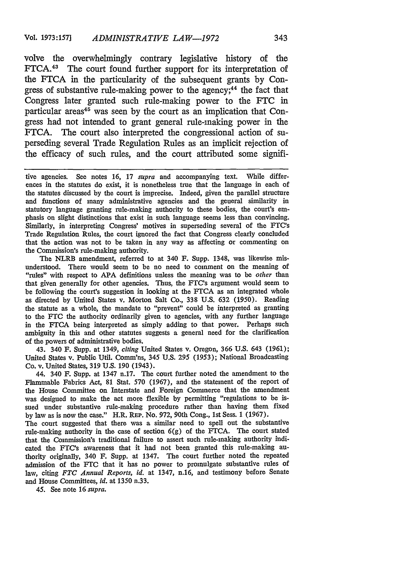volve the overwhelmingly contrary legislative history of the FTCA.<sup>43</sup> The court found further support for its interpretation of the FTCA in the particularity of the subsequent grants by Congress of substantive rule-making power to the agency;<sup>44</sup> the fact that Congress later granted such rule-making power to the FTC in particular areas<sup>45</sup> was seen by the court as an implication that Congress had not intended to grant general rule-making power in the FTCA. The court also interpreted the congressional action of superseding several Trade Regulation Rules as an implicit rejection of the efficacy of such rules, and the court attributed some signifi-

tive agencies. See notes 16, 17 *supra* and accompanying text. While differences in the statutes do exist, it is nonetheless true that the language in each of the statutes discussed by the court is imprecise. Indeed, given the parallel structure and functions of many administrative agencies and the general similarity in statutory language granting rule-making authority to these bodies, the court's emphasis on slight distinctions that exist in such language seems less than convincing. Similarly, in interpreting Congress' motives in superseding several of the FTC's Trade Regulation Rules, the court ignored the fact that Congress clearly concluded that the action was not to be taken in any way as affecting or commenting on the Commission's rule-making authority.

The NLRB amendment, referred to at 340 F. Supp. 1348, was likewise misunderstood. There would seem to be no need to comment on the meaning of "rules" with respect to APA definitions unless the meaning was to be *other* than that given generally for other agencies. Thus, the FTC's argument would seem to be following the court's suggestion in looking at the FTCA as an integrated whole as directed by United States v. Morton Salt Co., 338 U.S. 632 (1950). Reading the statute as a whole, the mandate to "prevent" could be interpreted as granting to the **FTC** the authority ordinarily given to agencies, with any further language in the FTCA being interpreted as simply adding to that power. Perhaps such ambiguity in this and other statutes suggests a general need for the clarification of the powers of administrative bodies.

43. 340 F. Supp. at 1349, *citing* United States v. Oregon, 366 U.S. 643 (1961); United States v. Public Util. Comm'ns, 345 U.S. 295 (1953); National Broadcasting Co. v. United States, 319 U.S. 190 (1943).

44. 340 F. Supp. at 1347 n.17. The court further noted the amendment to the Flammable Fabrics Act, 81 Stat. 570 (1967), and the statement of the report of the House Committee on Interstate and Foreign Commerce that the amendment was designed to make the act more flexible by permitting "regulations to be issued under substantive rule-making procedure rather than having them fixed by law as is now the case." H.R. REP. No. 972, 90th Cong., 1st Sess. 1 (1967).

The court suggested that there was a similar need to spell out the substantive rule-making authority in the case of section 6(g) of the **FTCA.** The court stated that the Commission's traditional failure to assert such rule-making authority indicated the FTC's awareness that it had not been granted this rule-making authority originally, 340 F. Supp. at 1347. The court further noted the repeated admission of the FTC that it has no power to promulgate substantive rules of law, citing *FTC Annual Reports, id.* at 1347, n.16, and testimony before Senate and House Committees, *id.* at 1350 n.33.

45. See note 16 *supra.*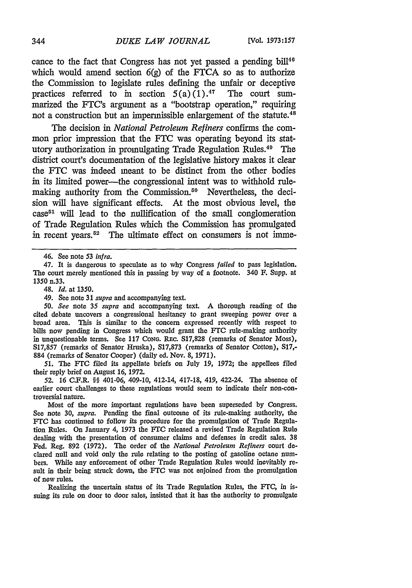cance to the fact that Congress has not yet passed a pending bill $146$ which would amend section  $6(g)$  of the FTCA so as to authorize the Commission to legislate rules defining the unfair or deceptive practices referred to in section  $5(a)(1)$ .<sup>47</sup> The court summarized the FTC's argument as a "bootstrap operation," requiring not a construction but an impermissible enlargement of the statute.<sup>48</sup>

The decision in *National Petroleum Refiners* confirms the common prior impression that the FTC was operating beyond its statutory authorization in promulgating Trade Regulation Rules.<sup>49</sup> The district court's documentation of the legislative history makes it clear the **FTC** was indeed meant to be distinct from the other bodies in its limited power—the congressional intent was to withhold rulemaking authority from the Commission.<sup>50</sup> Nevertheless, the decision will have significant effects. At the most obvious level, the  $case<sup>51</sup>$  will lead to the nullification of the small conglomeration of Trade Regulation Rules which the Commission has promulgated in recent years.<sup>52</sup> The ultimate effect on consumers is not imme-

48. *Id.* at 1350.

**51.** The **FTC** filed its appellate briefs on July **19,** 1972; the appellees filed their reply brief on August 16, 1972.

52. 16 C.F.R. §§ 401-06, 409-10, 412-14, 417-18, 419, 422-24. The absence of earlier court challenges to these regulations would seem to indicate their non-controversial nature.

Most of the more important regulations have been superseded by Congress. See note 30, *supra.* Pending the final outcome of its rule-making authority, the FTC has continued to follow its procedure for the promulgation of Trade Regulation Rules. On January 4, 1973 the **FTC** released a revised Trade Regulation Rule dealing with the presentation of consumer claims and defenses in credit sales. 38 Fed. Reg. 892 (1972). The order of the *National Petroleum Refiners* court declared null and void only the rule relating to the posting of gasoline octane numbers. While any enforcement of other Trade Regulation Rules would inevitably result in their being struck down, the **FTC** was not enjoined from the promulgation of new rules.

Realizing the uncertain status of its Trade Regulation Rules, the FTC, in issuing its rule on door to door sales, insisted that it has the authority to promulgate

<sup>46.</sup> See note 53 *infra.*

<sup>47.</sup> It is dangerous to speculate as to why Congress *failed* to pass legislation. The court merely mentioned this in passing by way of a footnote. 340 F. Supp. at 1350 n.33.

<sup>49.</sup> See note 31 *supra* and accompanying text.

*<sup>50.</sup> See* note 35 *supra* and accompanying text. A thorough reading of the cited debate uncovers a congressional hesitancy to grant sweeping power over a broad area. This is similar to the concern expressed recently with respect to bills now pending in Congress which would grant the FTC rule-making authority in unquestionable terms. See 117 Cong. REC. S17,828 (remarks of Senator Moss), S17,857 (remarks of Senator Hruska), S17,873 (remarks of Senator Cotton), S17,- 884 (remarks of Senator Cooper) (daily ed. Nov. 8, 1971).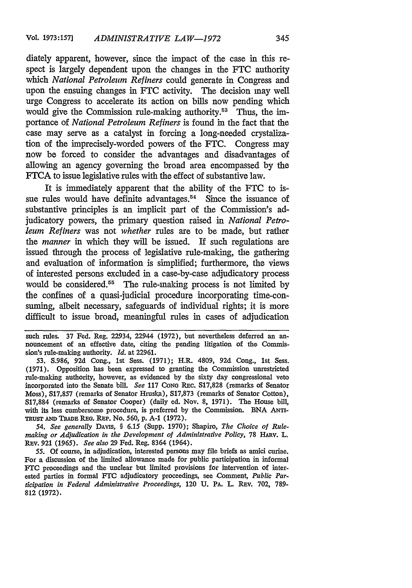diately apparent, however, since the impact of the case in this respect is largely dependent upon the changes in the FTC authority which *National Petroleum Refiners* could generate in Congress and upon the ensuing changes in FTC activity. The decision may well urge Congress to accelerate its action on bills now pending which would give the Commission rule-making authority.<sup>53</sup> Thus, the importance of *National Petroleum Refiners* is found in the fact that the case may serve as a catalyst in forcing a long-needed crystalization of the imprecisely-worded powers of the FTC. Congress may now be forced to consider the advantages and disadvantages of allowing an agency governing the broad area encompassed by the FTCA to issue legislative rules with the effect of substantive law.

It is immediately apparent that the ability of the FTC to issue rules would have definite advantages.<sup> $54$ </sup> Since the issuance of substantive principles is an implicit part of the Commission's adjudicatory powers, the primary question raised in *National Petroleum Refiners* was not *whether* rules are to be made, but rather the *manner* in which they will be issued. If such regulations are issued through the process of legislative rule-making, the gathering and evaluation of information is simplified; furthermore, the views of interested persons excluded in a case-by-case adjudicatory process would be considered.<sup> $55$ </sup> The rule-making process is not limited by the confines of a quasi-judicial procedure incorporating time-consuming, albeit necessary, safeguards of individual rights; it is more difficult to issue broad, meaningful rules in cases of adjudication

such rules. 37 Fed. Reg. 22934, 22944 (1972), but nevertheless deferred an announcement of an effective date, citing the pending litigation of the Commission's rule-making authority. *Id.* at 22961.

53. S.986, 92d Cong., 1st Sess. (1971); H.R. 4809, **92d** Cong., 1st Sess. (1971). Opposition has been expressed to granting the Commission unrestricted rule-making authority, however, as evidenced by the sixty day congressional veto incorporated into the Senate bill. *See* 117 CoNG REc. S17,828 (remarks of Senator Moss), S17,857 (remarks of Senator Hruska), S17,873 (remarks of Senator Cotton), S17,884 (remarks of Senator Cooper) (daily ed. Nov. 8, 1971). The House bill, with its less cumbersome procedure, is preferred by the Commission. BNA ANTi-TusT **AND** TRADE RE. REP. No. 560, **p. A-1** (1972).

*54. See generally* DAvis, § 6.15 (Supp. 1970); Shapiro, *The Choice of Rule*making or Adjudication in the Development of Administrative Policy, 78 HARV. L. REv. 921 (1965). *See also* 29 Fed. Reg. 8364 (1964).

*55.* Of course, in adjudication, interested persons may file briefs as amici curiae. For a discussion of the limited allowance made for public participation in informal FTC proceedings and the unclear but limited provisions for intervention of interested parties in formal **FTC** adjudicatory proceedings, see Comment, *Public Par.* ticipation in Federal Administrative Proceedings, 120 U. PA. L. REV. 702, 789-**812 (1972).**